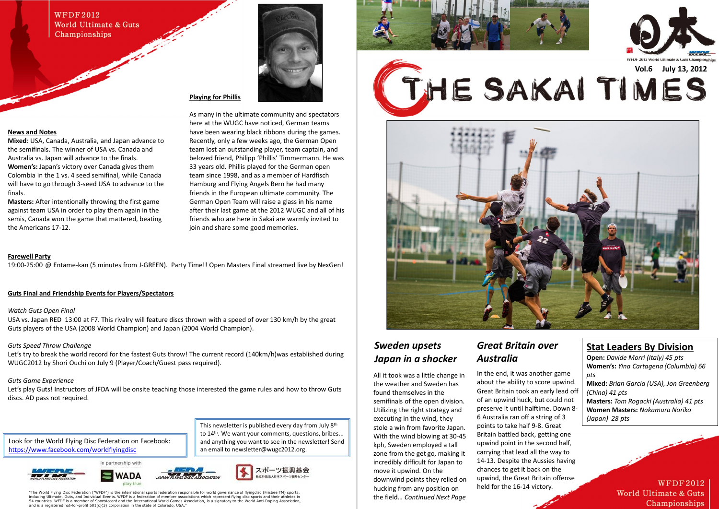This newsletter is published every day from July 8<sup>th</sup> to 14<sup>th</sup>. We want your comments, questions, bribes... and anything you want to see in the newsletter! Send

"The World Flying Disc Federation ("WFDF") is the international sports federation responsible for world governance of flyingdisc (Frisbee TM) sports, ,<br>nate, Guts, and Individual Events. WFDF is a federation of member associations which represent flying disc sports and their athletes in 54 countries. WFDF is a member of SportAccord and the International World Games Association, is a signatory to the World Anti-Doping Association, and is a registered not-for-profit 501(c)(3) corporation in the state of Colorado, USA.

an email to newsletter@wugc2012.org.







### *Sweden upsets Japan in a shocker*

All it took was a little change in the weather and Sweden has found themselves in the semifinals of the open division. Utilizing the right strategy and executing in the wind, they stole a win from favorite Japan. With the wind blowing at 30-45 kph, Sweden employed a tall zone from the get go, making it incredibly difficult for Japan to move it upwind. On the downwind points they relied on hucking from any position on the field… *Continued Next Page*

## *Great Britain over Australia*

In the end, it was another game about the ability to score upwind. Great Britain took an early lead off of an upwind huck, but could not preserve it until halftime. Down 8- 6 Australia ran off a string of 3 points to take half 9-8. Great Britain battled back, getting one upwind point in the second half, carrying that lead all the way to 14-13. Despite the Aussies having chances to get it back on the upwind, the Great Britain offense held for the 16-14 victory.



### **Stat Leaders By Division**

**Open:** *Davide Morri (Italy) 45 pts* **Women's:** *Yina Cartagena (Columbia) 66 pts*

**Mixed:** *Brian Garcia (USA), Jon Greenberg (China) 41 pts* **Masters:** *Tom Rogacki (Australia) 41 pts* **Women Masters:** *Nakamura Noriko (Japan) 28 pts*

> **WFDF2012** World Ultimate & Guts Championships

### **WFDF2012** World Ultimate & Guts Championships

### **News and Notes**

Let's play Guts! Instructors of JFDA will be onsite teaching those interested the game rules and how to throw Guts discs. AD pass not required.

**Mixed**: USA, Canada, Australia, and Japan advance to the semifinals. The winner of USA vs. Canada and Australia vs. Japan will advance to the finals. **Women's:** Japan's victory over Canada gives them Colombia in the 1 vs. 4 seed semifinal, while Canada will have to go through 3-seed USA to advance to the finals.

**Masters:** After intentionally throwing the first game against team USA in order to play them again in the semis, Canada won the game that mattered, beating the Americans 17-12.



### **Playing for Phillis**

As many in the ultimate community and spectators here at the WUGC have noticed, German teams have been wearing black ribbons during the games. Recently, only a few weeks ago, the German Open team lost an outstanding player, team captain, and beloved friend, Philipp 'Phillis' Timmermann. He was 33 years old. Phillis played for the German open team since 1998, and as a member of Hardfisch Hamburg and Flying Angels Bern he had many friends in the European ultimate community. The German Open Team will raise a glass in his name after their last game at the 2012 WUGC and all of his friends who are here in Sakai are warmly invited to join and share some good memories.

Look for the World Flying Disc Federation on Facebook: https://www.facebook.com/worldflyingdisc













### **Farewell Party**

19:00-25:00 @ Entame-kan (5 minutes from J-GREEN). Party Time!! Open Masters Final streamed live by NexGen!

### **Guts Final and Friendship Events for Players/Spectators**

#### *Watch Guts Open Final*

USA vs. Japan RED 13:00 at F7. This rivalry will feature discs thrown with a speed of over 130 km/h by the great Guts players of the USA (2008 World Champion) and Japan (2004 World Champion).

### *Guts Speed Throw Challenge*

Let's try to break the world record for the fastest Guts throw! The current record (140km/h)was established during WUGC2012 by Shori Ouchi on July 9 (Player/Coach/Guest pass required).

### *Guts Game Experience*